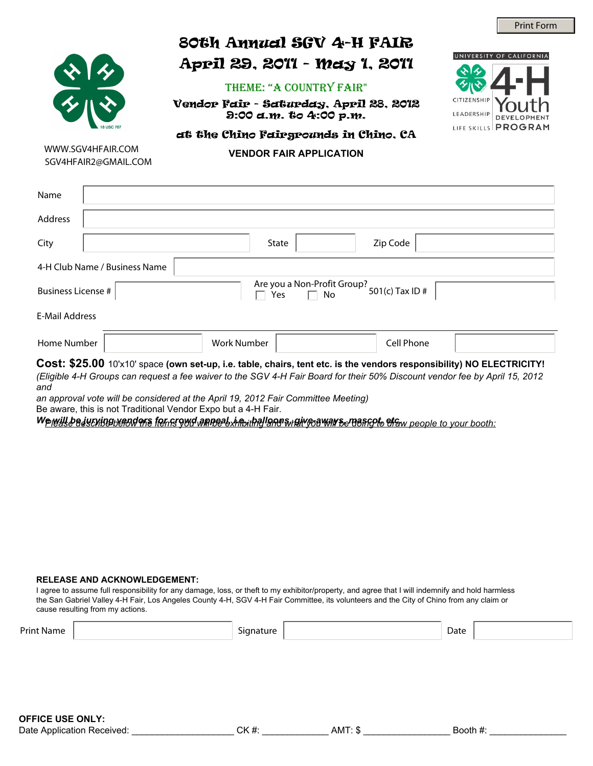

# 80th Annual SGV 4-H FAIR April 29, 2011 - May 1, 2011

### theme: "A COUNTRY FAIR"

Vendor Fair - Saturday, April 28, 2012 9:00 a.m. to 4:00 p.m.



## at the Chino Fairgrounds in Chino, CA

WWW.SGV4HFAIR.COM SGV4HFAIR2@GMAIL.COM

**VENDOR FAIR APPLICATION**

| Name                                                                                                                                                                                                                                                                                                                                             |                    |       |            |  |  |  |
|--------------------------------------------------------------------------------------------------------------------------------------------------------------------------------------------------------------------------------------------------------------------------------------------------------------------------------------------------|--------------------|-------|------------|--|--|--|
| Address                                                                                                                                                                                                                                                                                                                                          |                    |       |            |  |  |  |
| City                                                                                                                                                                                                                                                                                                                                             |                    | State | Zip Code   |  |  |  |
| 4-H Club Name / Business Name                                                                                                                                                                                                                                                                                                                    |                    |       |            |  |  |  |
| Are you a Non-Profit Group?<br>501(c) Tax ID #<br><b>Business License #</b><br>Yes                                                                                                                                                                                                                                                               |                    |       |            |  |  |  |
| <b>E-Mail Address</b>                                                                                                                                                                                                                                                                                                                            |                    |       |            |  |  |  |
| Home Number                                                                                                                                                                                                                                                                                                                                      | <b>Work Number</b> |       | Cell Phone |  |  |  |
| Cost: \$25.00 10'x10' space (own set-up, i.e. table, chairs, tent etc. is the vendors responsibility) NO ELECTRICITY!<br>(Eligible 4-H Groups can request a fee waiver to the SGV 4-H Fair Board for their 50% Discount vendor fee by April 15, 2012<br>and<br>an approval vote will be considered at the April 19, 2012 Fair Committee Meeting) |                    |       |            |  |  |  |

Be aware, this is not Traditional Vendor Expo but a 4-H Fair.

We will be justing vendors for crowd anneab, intitled and windig common security of the will be doin:

#### **RELEASE AND ACKNOWLEDGEMENT:**

I agree to assume full responsibility for any damage, loss, or theft to my exhibitor/property, and agree that I will indemnify and hold harmless the San Gabriel Valley 4-H Fair, Los Angeles County 4-H, SGV 4-H Fair Committee, its volunteers and the City of Chino from any claim or cause resulting from my actions.

| <b>Print Name</b> | Signature | Date |
|-------------------|-----------|------|
|                   |           |      |
|                   |           |      |
|                   |           |      |
|                   |           |      |